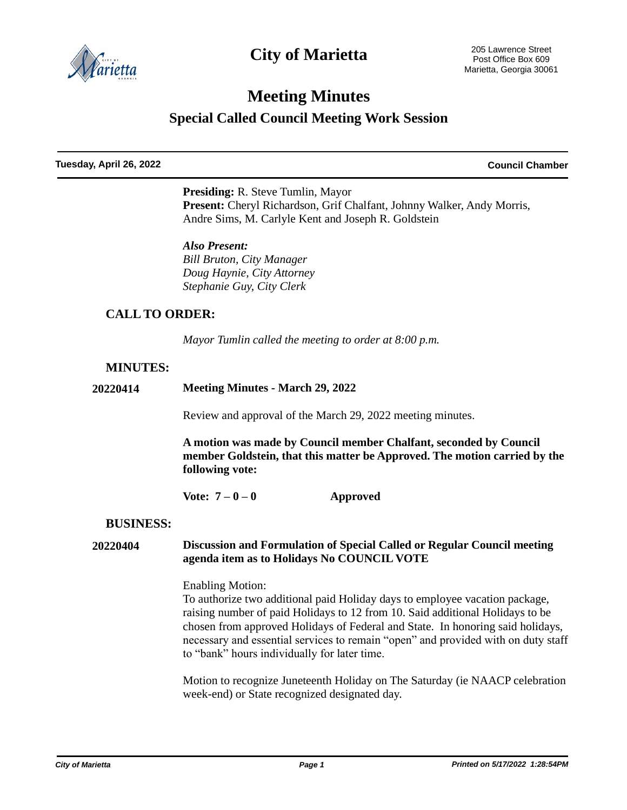

## **City of Marietta**

# **Meeting Minutes**

**Special Called Council Meeting Work Session**

**Tuesday, April 26, 2022 Council Chamber**

**Presiding:** R. Steve Tumlin, Mayor Present: Cheryl Richardson, Grif Chalfant, Johnny Walker, Andy Morris, Andre Sims, M. Carlyle Kent and Joseph R. Goldstein

*Also Present: Bill Bruton, City Manager Doug Haynie, City Attorney Stephanie Guy, City Clerk*

## **CALL TO ORDER:**

*Mayor Tumlin called the meeting to order at 8:00 p.m.*

## **MINUTES:**

**20220414 Meeting Minutes - March 29, 2022**

Review and approval of the March 29, 2022 meeting minutes.

**A motion was made by Council member Chalfant, seconded by Council member Goldstein, that this matter be Approved. The motion carried by the following vote:**

**Vote: 7 – 0 – 0 Approved**

### **BUSINESS:**

#### **20220404 Discussion and Formulation of Special Called or Regular Council meeting agenda item as to Holidays No COUNCIL VOTE**

#### Enabling Motion:

To authorize two additional paid Holiday days to employee vacation package, raising number of paid Holidays to 12 from 10. Said additional Holidays to be chosen from approved Holidays of Federal and State. In honoring said holidays, necessary and essential services to remain "open" and provided with on duty staff to "bank" hours individually for later time.

Motion to recognize Juneteenth Holiday on The Saturday (ie NAACP celebration week-end) or State recognized designated day.